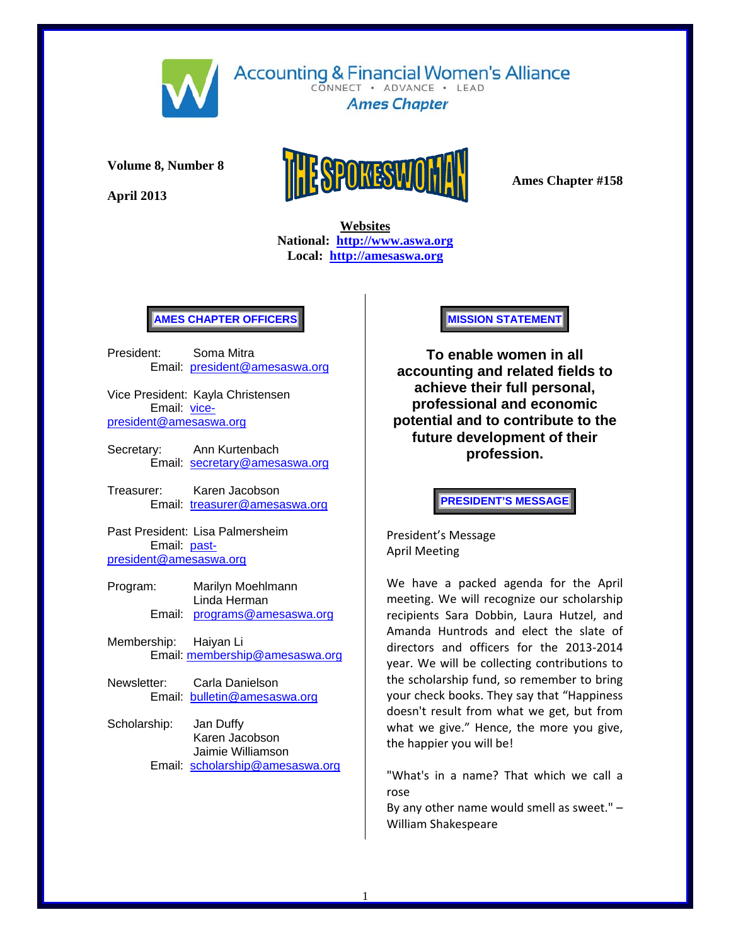

**Accounting & Financial Women's Alliance** CONNECT . ADVANCE . LEAD

**Ames Chapter** 

**Volume 8, Number 8** 

**April 2013** 



 **Websites National: http://www.aswa.org Local: http://amesaswa.org**

# **AMES CHAPTER OFFICERS**

President: Soma Mitra Email: president@amesaswa.org

Vice President: Kayla Christensen Email: vicepresident@amesaswa.org

- Secretary: Ann Kurtenbach Email: secretary@amesaswa.org
- Treasurer: Karen Jacobson Email: treasurer@amesaswa.org

Past President: Lisa Palmersheim Email: pastpresident@amesaswa.org

- Program: Marilyn Moehlmann Linda Herman Email: programs@amesaswa.org
- Membership: Haiyan Li Email: membership@amesaswa.org
- Newsletter: Carla Danielson Email: bulletin@amesaswa.org
- Scholarship: Jan Duffy Karen Jacobson Jaimie Williamson Email: scholarship@amesaswa.org

**MISSION STATEMENT** 

**To enable women in all accounting and related fields to achieve their full personal, professional and economic potential and to contribute to the future development of their profession.**

**PRESIDENT'S MESSAGE** 

President's Message April Meeting

We have a packed agenda for the April meeting. We will recognize our scholarship recipients Sara Dobbin, Laura Hutzel, and Amanda Huntrods and elect the slate of directors and officers for the 2013‐2014 year. We will be collecting contributions to the scholarship fund, so remember to bring your check books. They say that "Happiness doesn't result from what we get, but from what we give." Hence, the more you give, the happier you will be!

"What's in a name? That which we call a rose

By any other name would smell as sweet." – William Shakespeare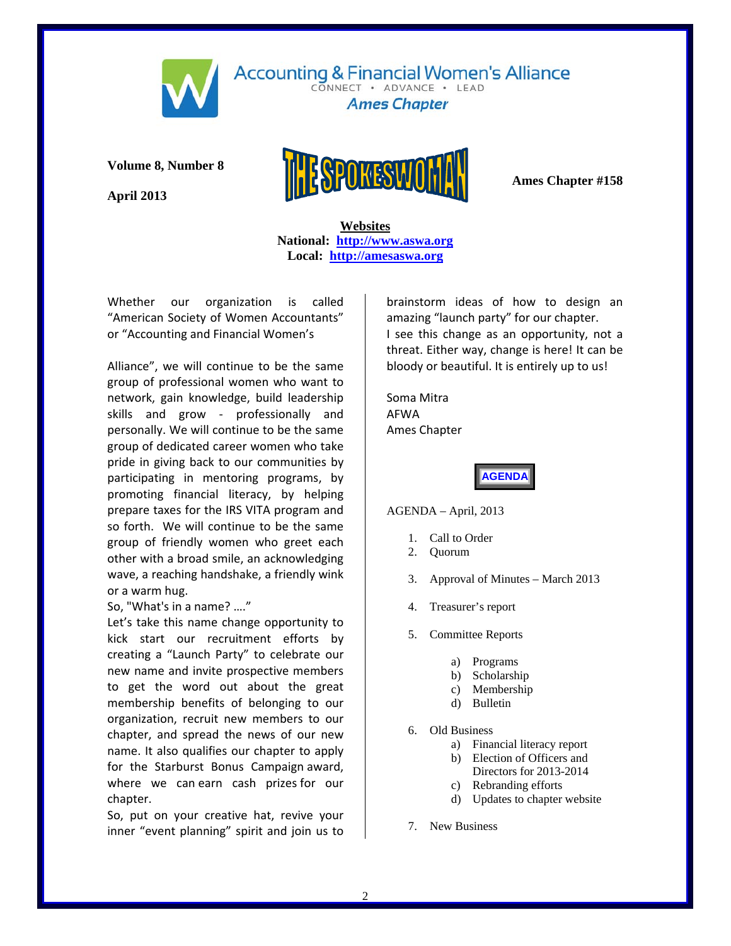

CONNECT · ADVANCE · LEAD **Ames Chapter** 

**Volume 8, Number 8** 

**April 2013** 



 **Websites National: http://www.aswa.org Local: http://amesaswa.org**

Whether our organization is called "American Society of Women Accountants" or "Accounting and Financial Women's

Alliance", we will continue to be the same group of professional women who want to network, gain knowledge, build leadership skills and grow - professionally and personally. We will continue to be the same group of dedicated career women who take pride in giving back to our communities by participating in mentoring programs, by promoting financial literacy, by helping prepare taxes for the IRS VITA program and so forth. We will continue to be the same group of friendly women who greet each other with a broad smile, an acknowledging wave, a reaching handshake, a friendly wink or a warm hug.

So, "What's in a name? …."

Let's take this name change opportunity to kick start our recruitment efforts by creating a "Launch Party" to celebrate our new name and invite prospective members to get the word out about the great membership benefits of belonging to our organization, recruit new members to our chapter, and spread the news of our new name. It also qualifies our chapter to apply for the Starburst Bonus Campaign award, where we can earn cash prizes for our chapter.

So, put on your creative hat, revive your inner "event planning" spirit and join us to

brainstorm ideas of how to design an amazing "launch party" for our chapter. I see this change as an opportunity, not a threat. Either way, change is here! It can be bloody or beautiful. It is entirely up to us!

Soma Mitra AFWA Ames Chapter

**AGENDA** 

AGENDA – April, 2013

- 1. Call to Order
- 2. Quorum
- 3. Approval of Minutes March 2013
- 4. Treasurer's report
- 5. Committee Reports
	- a) Programs
	- b) Scholarship
	- c) Membership
	- d) Bulletin
- 6. Old Business
	- a) Financial literacy report
	- b) Election of Officers and
		- Directors for 2013-2014
	- c) Rebranding efforts
		- d) Updates to chapter website
- 7. New Business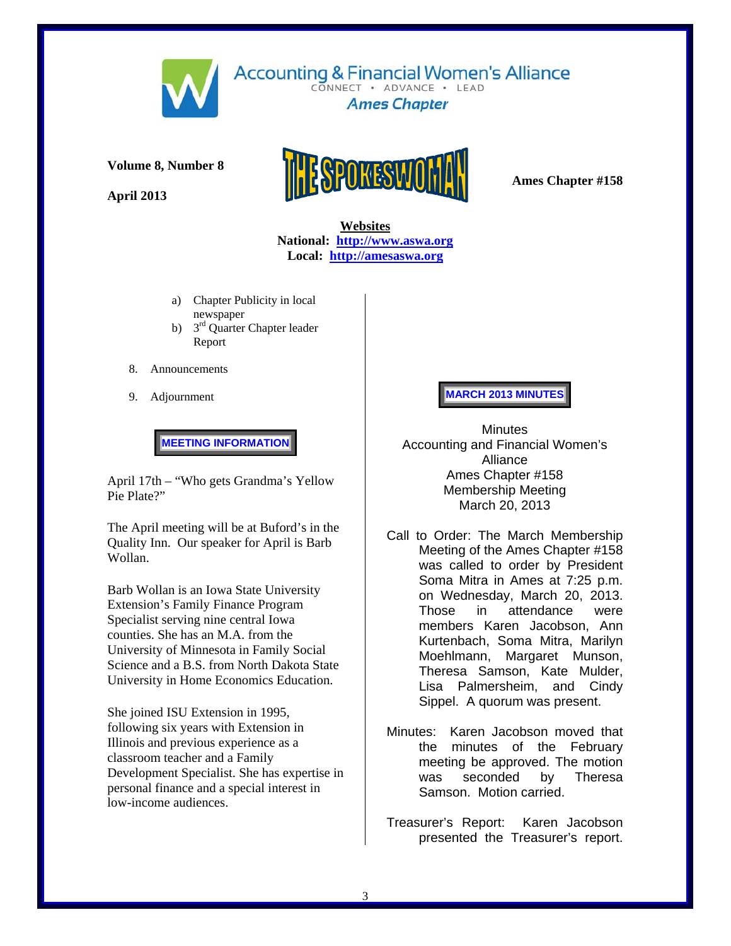

**Volume 8, Number 8** 

**April 2013** 



**Accounting & Financial Women's Alliance** CONNECT . ADVANCE . LEAD **Ames Chapter** 

 **Websites National: http://www.aswa.org Local: http://amesaswa.org**

- a) Chapter Publicity in local newspaper
- b) 3<sup>rd</sup> Quarter Chapter leader Report
- 8. Announcements
- 9. Adjournment

**MEETING INFORMATION** 

April 17th – "Who gets Grandma's Yellow Pie Plate?"

The April meeting will be at Buford's in the Quality Inn. Our speaker for April is Barb Wollan.

Barb Wollan is an Iowa State University Extension's Family Finance Program Specialist serving nine central Iowa counties. She has an M.A. from the University of Minnesota in Family Social Science and a B.S. from North Dakota State University in Home Economics Education.

She joined ISU Extension in 1995, following six years with Extension in Illinois and previous experience as a classroom teacher and a Family Development Specialist. She has expertise in personal finance and a special interest in low-income audiences.

#### **MARCH 2013 MINUTES**

**Minutes** Accounting and Financial Women's Alliance Ames Chapter #158 Membership Meeting March 20, 2013

- Call to Order: The March Membership Meeting of the Ames Chapter #158 was called to order by President Soma Mitra in Ames at 7:25 p.m. on Wednesday, March 20, 2013. Those in attendance were members Karen Jacobson, Ann Kurtenbach, Soma Mitra, Marilyn Moehlmann, Margaret Munson, Theresa Samson, Kate Mulder, Lisa Palmersheim, and Cindy Sippel. A quorum was present.
- Minutes: Karen Jacobson moved that the minutes of the February meeting be approved. The motion was seconded by Theresa Samson. Motion carried.
- Treasurer's Report: Karen Jacobson presented the Treasurer's report.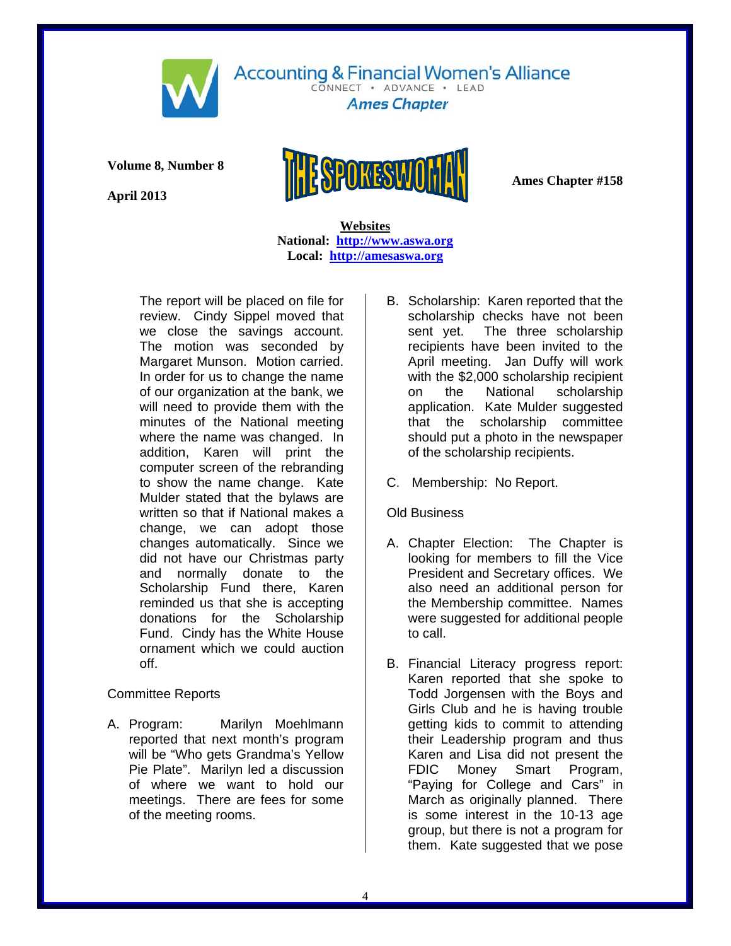

CONNECT . ADVANCE . LEAD **Ames Chapter** 

**Volume 8, Number 8** 

**April 2013** 



 **Websites National: http://www.aswa.org Local: http://amesaswa.org**

The report will be placed on file for review. Cindy Sippel moved that we close the savings account. The motion was seconded by Margaret Munson. Motion carried. In order for us to change the name of our organization at the bank, we will need to provide them with the minutes of the National meeting where the name was changed. In addition, Karen will print the computer screen of the rebranding to show the name change. Kate Mulder stated that the bylaws are written so that if National makes a change, we can adopt those changes automatically. Since we did not have our Christmas party and normally donate to the Scholarship Fund there, Karen reminded us that she is accepting donations for the Scholarship Fund. Cindy has the White House ornament which we could auction off.

## Committee Reports

A. Program: Marilyn Moehlmann reported that next month's program will be "Who gets Grandma's Yellow Pie Plate". Marilyn led a discussion of where we want to hold our meetings. There are fees for some of the meeting rooms.

- B. Scholarship: Karen reported that the scholarship checks have not been sent yet. The three scholarship recipients have been invited to the April meeting. Jan Duffy will work with the \$2,000 scholarship recipient on the National scholarship application. Kate Mulder suggested that the scholarship committee should put a photo in the newspaper of the scholarship recipients.
- C. Membership: No Report.

## Old Business

- A. Chapter Election: The Chapter is looking for members to fill the Vice President and Secretary offices. We also need an additional person for the Membership committee. Names were suggested for additional people to call.
- B. Financial Literacy progress report: Karen reported that she spoke to Todd Jorgensen with the Boys and Girls Club and he is having trouble getting kids to commit to attending their Leadership program and thus Karen and Lisa did not present the FDIC Money Smart Program, "Paying for College and Cars" in March as originally planned. There is some interest in the 10-13 age group, but there is not a program for them. Kate suggested that we pose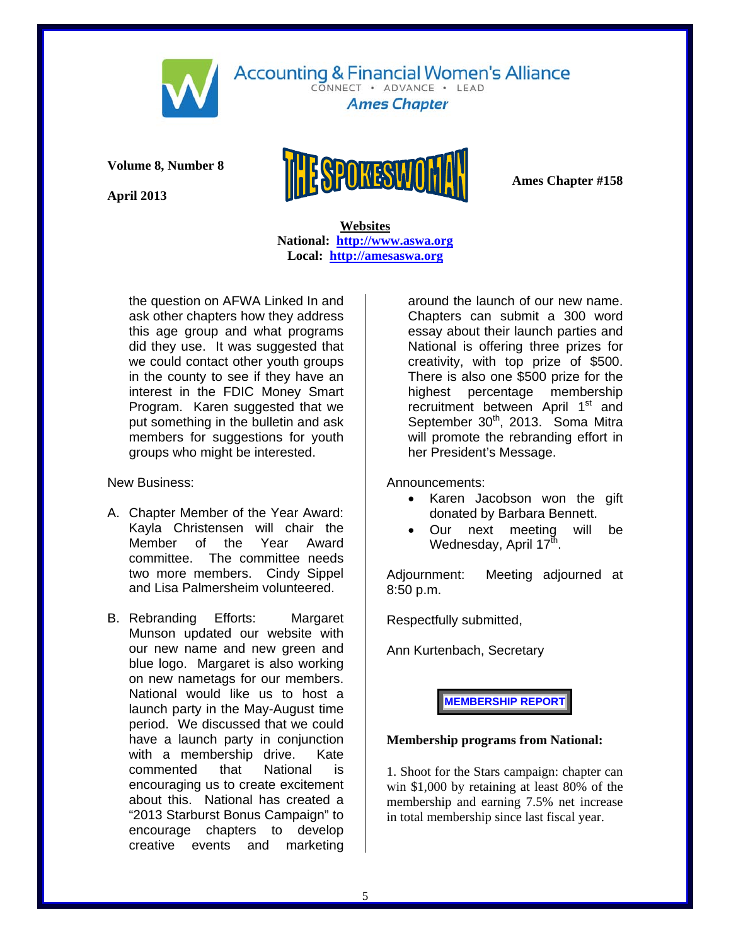

CONNECT · ADVANCE · LEAD **Ames Chapter** 

**Volume 8, Number 8** 

**April 2013** 



 **Websites National: http://www.aswa.org Local: http://amesaswa.org**

the question on AFWA Linked In and ask other chapters how they address this age group and what programs did they use. It was suggested that we could contact other youth groups in the county to see if they have an interest in the FDIC Money Smart Program. Karen suggested that we put something in the bulletin and ask members for suggestions for youth groups who might be interested.

New Business:

- A. Chapter Member of the Year Award: Kayla Christensen will chair the Member of the Year Award committee. The committee needs two more members. Cindy Sippel and Lisa Palmersheim volunteered.
- B. Rebranding Efforts: Margaret Munson updated our website with our new name and new green and blue logo. Margaret is also working on new nametags for our members. National would like us to host a launch party in the May-August time period. We discussed that we could have a launch party in conjunction with a membership drive. Kate commented that National is encouraging us to create excitement about this. National has created a "2013 Starburst Bonus Campaign" to encourage chapters to develop creative events and marketing

around the launch of our new name. Chapters can submit a 300 word essay about their launch parties and National is offering three prizes for creativity, with top prize of \$500. There is also one \$500 prize for the highest percentage membership recruitment between April 1<sup>st</sup> and September 30<sup>th</sup>, 2013. Soma Mitra will promote the rebranding effort in her President's Message.

Announcements:

- Karen Jacobson won the gift donated by Barbara Bennett.
- Our next meeting will be Wednesday, April 17<sup>th</sup>.

Adjournment: Meeting adjourned at 8:50 p.m.

Respectfully submitted,

Ann Kurtenbach, Secretary

**MEMBERSHIP REPORT** 

#### **Membership programs from National:**

1. Shoot for the Stars campaign: chapter can win \$1,000 by retaining at least 80% of the membership and earning 7.5% net increase in total membership since last fiscal year.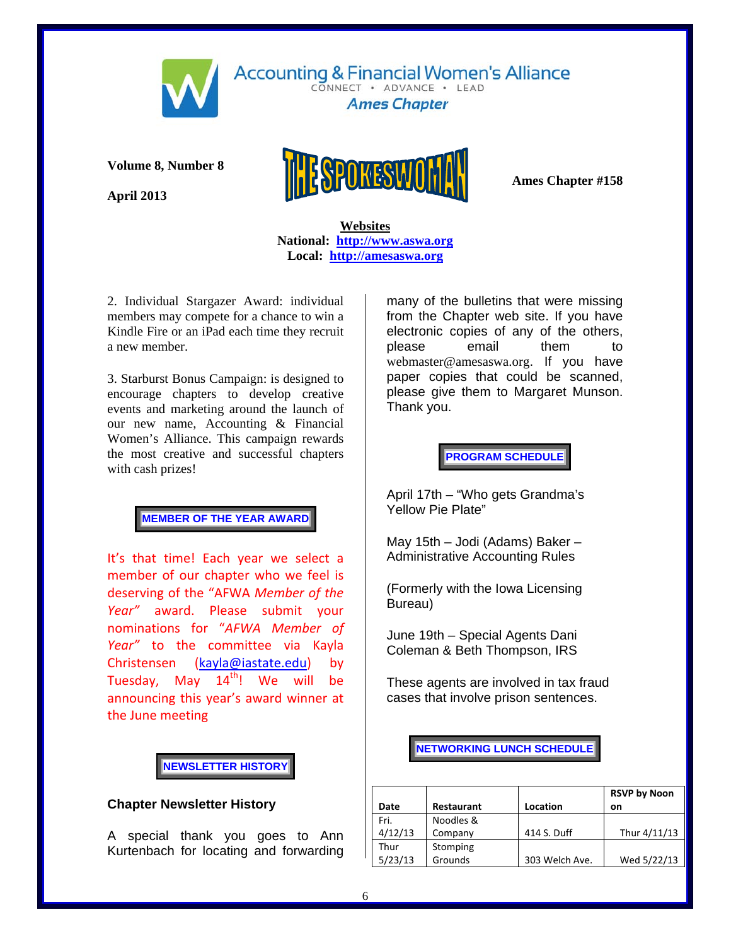

CONNECT . ADVANCE . LEAD **Ames Chapter** 

**Volume 8, Number 8** 

**April 2013** 



 **Websites National: http://www.aswa.org Local: http://amesaswa.org**

2. Individual Stargazer Award: individual members may compete for a chance to win a Kindle Fire or an iPad each time they recruit a new member.

3. Starburst Bonus Campaign: is designed to encourage chapters to develop creative events and marketing around the launch of our new name, Accounting & Financial Women's Alliance. This campaign rewards the most creative and successful chapters with cash prizes!

### **MEMBER OF THE YEAR AWARD**

It's that time! Each year we select a member of our chapter who we feel is deserving of the "AFWA *Member of the Year"* award. Please submit your nominations for "*AFWA Member of Year"* to the committee via Kayla Christensen (kayla@iastate.edu) by Tuesday, May  $14<sup>th</sup>$ ! We will be announcing this year's award winner at the June meeting

## **NEWSLETTER HISTORY**

## **Chapter Newsletter History**

A special thank you goes to Ann Kurtenbach for locating and forwarding

many of the bulletins that were missing from the Chapter web site. If you have electronic copies of any of the others, please email them to webmaster@amesaswa.org. If you have paper copies that could be scanned, please give them to Margaret Munson. Thank you.

**PROGRAM SCHEDULE** 

April 17th – "Who gets Grandma's Yellow Pie Plate"

May 15th – Jodi (Adams) Baker – Administrative Accounting Rules

(Formerly with the Iowa Licensing Bureau)

June 19th – Special Agents Dani Coleman & Beth Thompson, IRS

These agents are involved in tax fraud cases that involve prison sentences.

#### **NETWORKING LUNCH SCHEDULE**

|         |                   |                | <b>RSVP by Noon</b> |
|---------|-------------------|----------------|---------------------|
| Date    | <b>Restaurant</b> | Location       | on                  |
| Fri.    | Noodles &         |                |                     |
| 4/12/13 | Company           | 414 S. Duff    | Thur 4/11/13        |
| Thur    | Stomping          |                |                     |
| 5/23/13 | Grounds           | 303 Welch Ave. | Wed 5/22/13         |